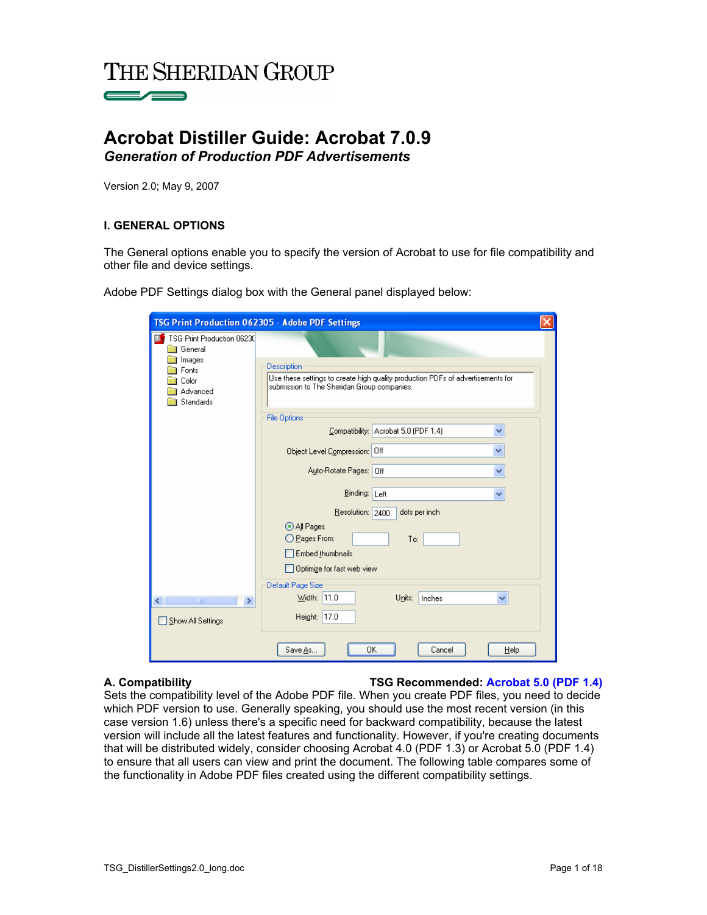

# **Acrobat Distiller Guide: Acrobat 7.0.9**  *Generation of Production PDF Advertisements*

Version 2.0; May 9, 2007

### **I. GENERAL OPTIONS**

The General options enable you to specify the version of Acrobat to use for file compatibility and other file and device settings.

Adobe PDF Settings dialog box with the General panel displayed below:

| TSG Print Production 062305 - Adobe PDF Settings                                           |                                                                                                                                               |  |  |  |  |
|--------------------------------------------------------------------------------------------|-----------------------------------------------------------------------------------------------------------------------------------------------|--|--|--|--|
| TSG Print Production 06230<br>General<br>Images<br>Fonts<br>Color<br>Advanced<br>Standards | Description<br>Use these settings to create high quality production PDFs of advertisements for<br>submission to The Sheridan Group companies. |  |  |  |  |
|                                                                                            | <b>File Options</b><br>Compatibility: Acrobat 5.0 (PDF 1.4)<br>v                                                                              |  |  |  |  |
|                                                                                            | Object Level Compression: Off                                                                                                                 |  |  |  |  |
|                                                                                            | Auto-Rotate Pages: Off<br>v                                                                                                                   |  |  |  |  |
|                                                                                            | Binding: Left<br>v<br>dots per inch<br>Resolution: 2400                                                                                       |  |  |  |  |
|                                                                                            | All Pages<br>O Pages From:<br>To:<br><b>Embed thumbnails</b><br>Optimize for fast web view                                                    |  |  |  |  |
| ∢∣<br>×<br>$\mathbf{m}$                                                                    | Default Page Size<br>Width: 11.0<br>Units:<br>Inches<br>v                                                                                     |  |  |  |  |
| Show All Settings                                                                          | Height: 17.0<br>0K<br>Cancel<br>Save As<br>Help                                                                                               |  |  |  |  |

### **A. Compatibility TSG Recommended: Acrobat 5.0 (PDF 1.4)**

Sets the compatibility level of the Adobe PDF file. When you create PDF files, you need to decide which PDF version to use. Generally speaking, you should use the most recent version (in this case version 1.6) unless there's a specific need for backward compatibility, because the latest version will include all the latest features and functionality. However, if you're creating documents that will be distributed widely, consider choosing Acrobat 4.0 (PDF 1.3) or Acrobat 5.0 (PDF 1.4) to ensure that all users can view and print the document. The following table compares some of the functionality in Adobe PDF files created using the different compatibility settings.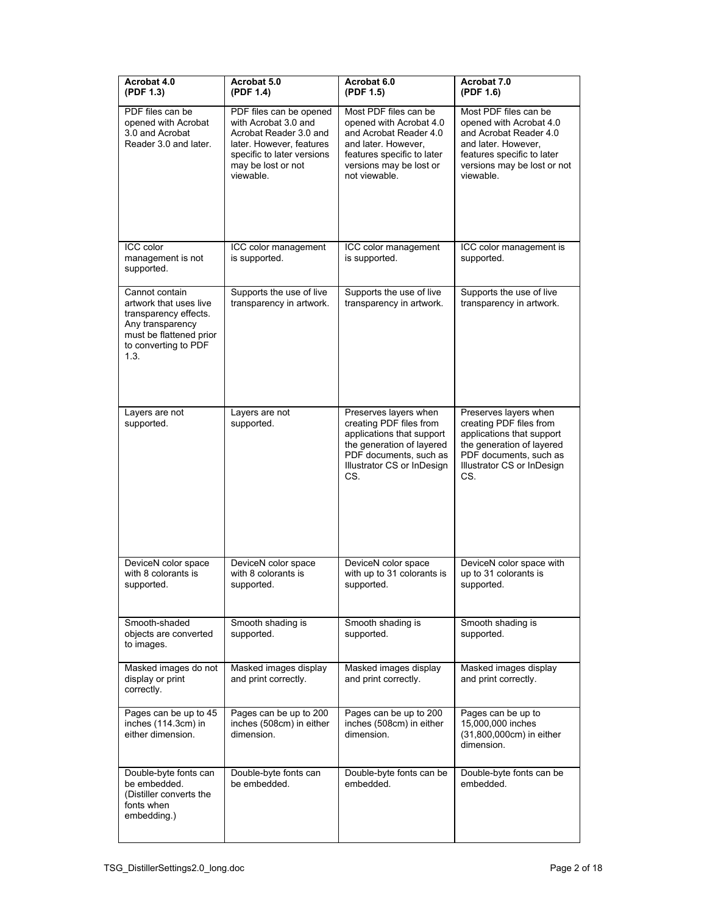| Acrobat 4.0<br>(PDF 1.3)                                                                                                                         | Acrobat 5.0<br>(PDF 1.4)                                                                                                                                               | Acrobat 6.0<br>(PDF 1.5)                                                                                                                                                    | Acrobat 7.0<br>(PDF 1.6)                                                                                                                                                    |
|--------------------------------------------------------------------------------------------------------------------------------------------------|------------------------------------------------------------------------------------------------------------------------------------------------------------------------|-----------------------------------------------------------------------------------------------------------------------------------------------------------------------------|-----------------------------------------------------------------------------------------------------------------------------------------------------------------------------|
| PDF files can be<br>opened with Acrobat<br>3.0 and Acrobat<br>Reader 3.0 and later.                                                              | PDF files can be opened<br>with Acrobat 3.0 and<br>Acrobat Reader 3.0 and<br>later. However, features<br>specific to later versions<br>may be lost or not<br>viewable. | Most PDF files can be<br>opened with Acrobat 4.0<br>and Acrobat Reader 4.0<br>and later. However.<br>features specific to later<br>versions may be lost or<br>not viewable. | Most PDF files can be<br>opened with Acrobat 4.0<br>and Acrobat Reader 4.0<br>and later. However,<br>features specific to later<br>versions may be lost or not<br>viewable. |
| ICC color<br>management is not<br>supported.                                                                                                     | ICC color management<br>is supported.                                                                                                                                  | ICC color management<br>is supported.                                                                                                                                       | ICC color management is<br>supported.                                                                                                                                       |
| Cannot contain<br>artwork that uses live<br>transparency effects.<br>Any transparency<br>must be flattened prior<br>to converting to PDF<br>1.3. | Supports the use of live<br>transparency in artwork.                                                                                                                   | Supports the use of live<br>transparency in artwork.                                                                                                                        | Supports the use of live<br>transparency in artwork.                                                                                                                        |
| Layers are not<br>supported.                                                                                                                     | Layers are not<br>supported.                                                                                                                                           | Preserves layers when<br>creating PDF files from<br>applications that support<br>the generation of layered<br>PDF documents, such as<br>Illustrator CS or InDesign<br>CS.   | Preserves layers when<br>creating PDF files from<br>applications that support<br>the generation of layered<br>PDF documents, such as<br>Illustrator CS or InDesign<br>CS.   |
| DeviceN color space<br>with 8 colorants is<br>supported.                                                                                         | DeviceN color space<br>with 8 colorants is<br>supported.                                                                                                               | DeviceN color space<br>with up to 31 colorants is<br>supported.                                                                                                             | DeviceN color space with<br>up to 31 colorants is<br>supported.                                                                                                             |
| Smooth-shaded<br>objects are converted<br>to images.                                                                                             | Smooth shading is<br>supported.                                                                                                                                        | Smooth shading is<br>supported.                                                                                                                                             | Smooth shading is<br>supported.                                                                                                                                             |
| Masked images do not<br>display or print<br>correctly.                                                                                           | Masked images display<br>and print correctly.                                                                                                                          | Masked images display<br>and print correctly.                                                                                                                               | Masked images display<br>and print correctly.                                                                                                                               |
| Pages can be up to 45<br>inches (114.3cm) in<br>either dimension.                                                                                | Pages can be up to 200<br>inches (508cm) in either<br>dimension.                                                                                                       | Pages can be up to 200<br>inches (508cm) in either<br>dimension.                                                                                                            | Pages can be up to<br>15,000,000 inches<br>(31,800,000cm) in either<br>dimension.                                                                                           |
| Double-byte fonts can<br>be embedded.<br>(Distiller converts the<br>fonts when<br>embedding.)                                                    | Double-byte fonts can<br>be embedded.                                                                                                                                  | Double-byte fonts can be<br>embedded.                                                                                                                                       | Double-byte fonts can be<br>embedded.                                                                                                                                       |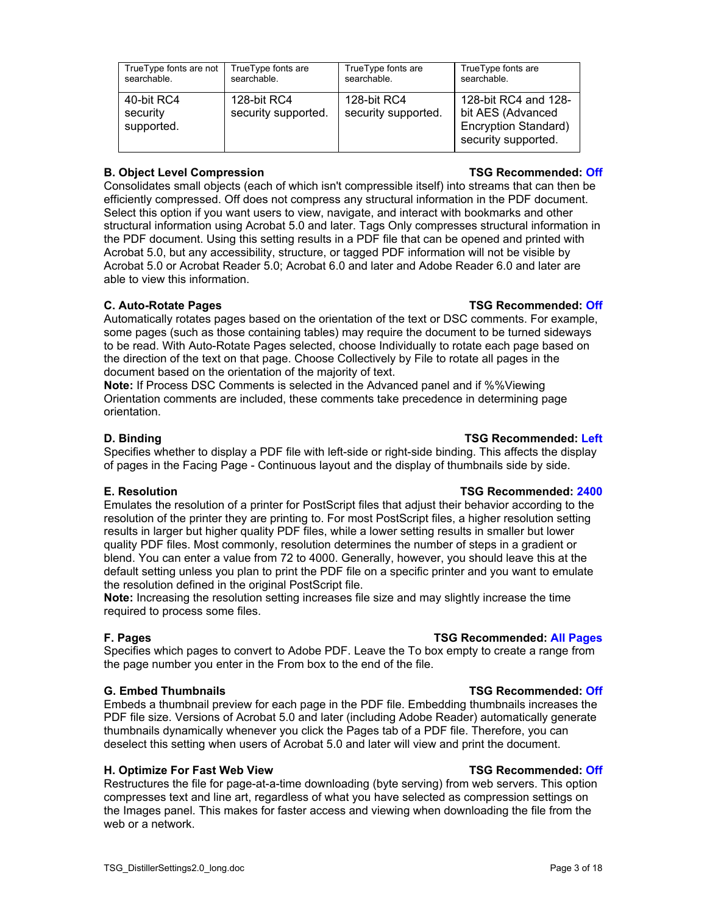| TrueType fonts are not               | TrueType fonts are                 | TrueType fonts are                 | TrueType fonts are                                                                       |
|--------------------------------------|------------------------------------|------------------------------------|------------------------------------------------------------------------------------------|
| searchable.                          | searchable.                        | searchable.                        | searchable.                                                                              |
| 40-bit RC4<br>security<br>supported. | 128-bit RC4<br>security supported. | 128-bit RC4<br>security supported. | 128-bit RC4 and 128-<br>bit AES (Advanced<br>Encryption Standard)<br>security supported. |

**B. Object Level Compression TSG Recommended: Off**

Consolidates small objects (each of which isn't compressible itself) into streams that can then be efficiently compressed. Off does not compress any structural information in the PDF document. Select this option if you want users to view, navigate, and interact with bookmarks and other structural information using Acrobat 5.0 and later. Tags Only compresses structural information in the PDF document. Using this setting results in a PDF file that can be opened and printed with Acrobat 5.0, but any accessibility, structure, or tagged PDF information will not be visible by Acrobat 5.0 or Acrobat Reader 5.0; Acrobat 6.0 and later and Adobe Reader 6.0 and later are able to view this information.

## **C. Auto-Rotate Pages TSG Recommended: Off**

Automatically rotates pages based on the orientation of the text or DSC comments. For example, some pages (such as those containing tables) may require the document to be turned sideways to be read. With Auto-Rotate Pages selected, choose Individually to rotate each page based on the direction of the text on that page. Choose Collectively by File to rotate all pages in the document based on the orientation of the majority of text.

**Note:** If Process DSC Comments is selected in the Advanced panel and if %%Viewing Orientation comments are included, these comments take precedence in determining page orientation.

# **D. Binding TSG Recommended: Left**

Specifies whether to display a PDF file with left-side or right-side binding. This affects the display of pages in the Facing Page - Continuous layout and the display of thumbnails side by side.

### **E. Resolution TSG Recommended: 2400**

Emulates the resolution of a printer for PostScript files that adjust their behavior according to the resolution of the printer they are printing to. For most PostScript files, a higher resolution setting results in larger but higher quality PDF files, while a lower setting results in smaller but lower quality PDF files. Most commonly, resolution determines the number of steps in a gradient or blend. You can enter a value from 72 to 4000. Generally, however, you should leave this at the default setting unless you plan to print the PDF file on a specific printer and you want to emulate the resolution defined in the original PostScript file.

**Note:** Increasing the resolution setting increases file size and may slightly increase the time required to process some files.

### **F. Pages TSG Recommended: All Pages**

Specifies which pages to convert to Adobe PDF. Leave the To box empty to create a range from the page number you enter in the From box to the end of the file.

### **G. Embed Thumbnails TSG Recommended: Off**

Embeds a thumbnail preview for each page in the PDF file. Embedding thumbnails increases the PDF file size. Versions of Acrobat 5.0 and later (including Adobe Reader) automatically generate thumbnails dynamically whenever you click the Pages tab of a PDF file. Therefore, you can deselect this setting when users of Acrobat 5.0 and later will view and print the document.

# **H. Optimize For Fast Web View TSG Recommended: Off**

Restructures the file for page-at-a-time downloading (byte serving) from web servers. This option compresses text and line art, regardless of what you have selected as compression settings on the Images panel. This makes for faster access and viewing when downloading the file from the web or a network.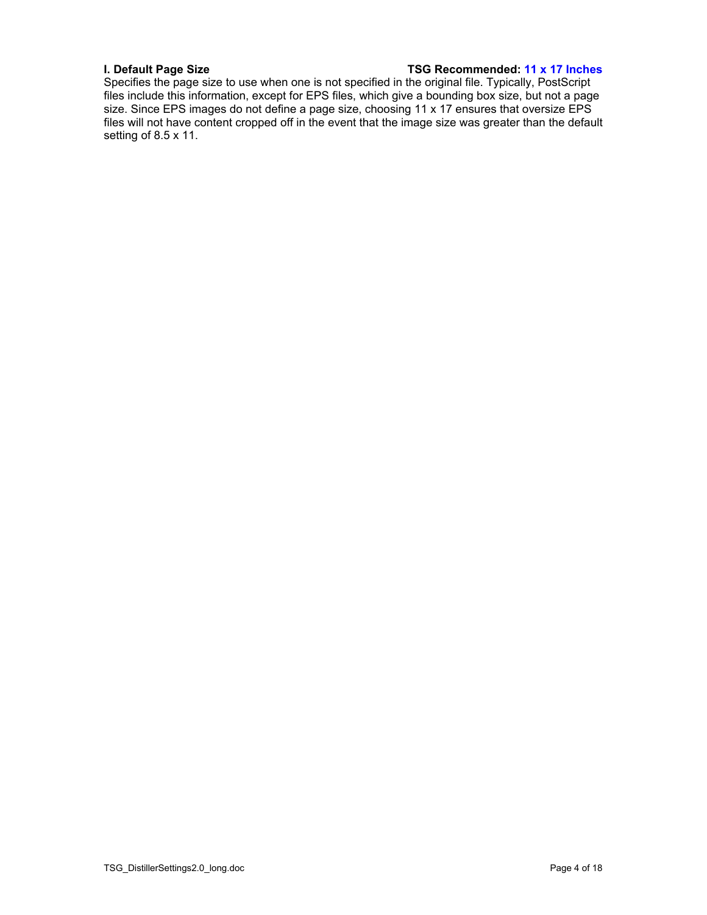#### **I. Default Page Size TSG Recommended: 11 x 17 Inches**

Specifies the page size to use when one is not specified in the original file. Typically, PostScript files include this information, except for EPS files, which give a bounding box size, but not a page size. Since EPS images do not define a page size, choosing 11 x 17 ensures that oversize EPS files will not have content cropped off in the event that the image size was greater than the default setting of 8.5 x 11.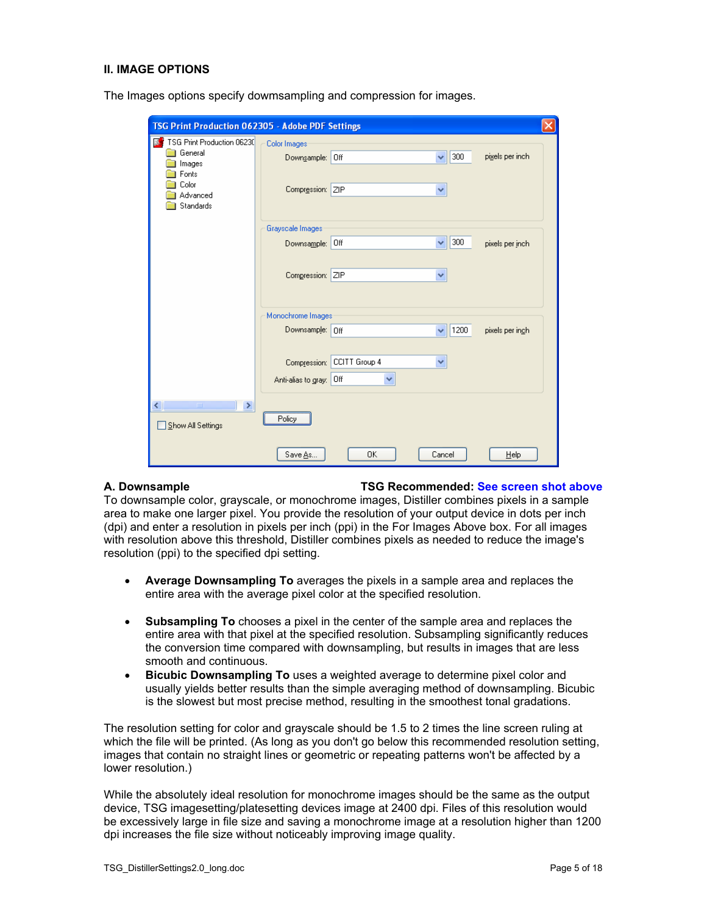#### **II. IMAGE OPTIONS**

|                               | TSG Print Production 062305 - Adobe PDF Settings |                                        |      |
|-------------------------------|--------------------------------------------------|----------------------------------------|------|
| TSG Print Production 06230    | Color Images                                     |                                        |      |
| General                       | Downsample: Off                                  | 300<br>pixels per inch<br>$\checkmark$ |      |
| Images                        |                                                  |                                        |      |
| Fonts<br>Color                |                                                  |                                        |      |
| Advanced                      | Compression:<br><b>ZIP</b>                       | $\checkmark$                           |      |
| <b>Standards</b>              |                                                  |                                        |      |
|                               |                                                  |                                        |      |
|                               | Grayscale Images                                 |                                        |      |
|                               | Off<br>Downsample:                               | 300<br>$\checkmark$<br>pixels per inch |      |
|                               |                                                  |                                        |      |
|                               |                                                  |                                        |      |
|                               | <b>ZIP</b><br>Compression:                       | $\checkmark$                           |      |
|                               |                                                  |                                        |      |
|                               |                                                  |                                        |      |
|                               | Monochrome Images                                |                                        |      |
|                               | Downsample: Off                                  | 1200<br>pixels per inch<br>v           |      |
|                               |                                                  |                                        |      |
|                               |                                                  |                                        |      |
|                               | CCITT Group 4<br>Compression:                    | $\ddotmark$                            |      |
|                               | Off<br>Anti-alias to gray:                       | ×                                      |      |
|                               |                                                  |                                        |      |
| ≮∥<br>$\mathbf{m}$<br>$\,>\,$ |                                                  |                                        |      |
|                               | Policy                                           |                                        |      |
| Show All Settings             |                                                  |                                        |      |
|                               |                                                  |                                        |      |
|                               | 0K<br>Save As                                    | Cancel                                 | Help |

The Images options specify dowmsampling and compression for images.

### **A. Downsample TSG Recommended: See screen shot above**

To downsample color, grayscale, or monochrome images, Distiller combines pixels in a sample area to make one larger pixel. You provide the resolution of your output device in dots per inch (dpi) and enter a resolution in pixels per inch (ppi) in the For Images Above box. For all images with resolution above this threshold, Distiller combines pixels as needed to reduce the image's resolution (ppi) to the specified dpi setting.

- **Average Downsampling To** averages the pixels in a sample area and replaces the entire area with the average pixel color at the specified resolution.
- **Subsampling To** chooses a pixel in the center of the sample area and replaces the entire area with that pixel at the specified resolution. Subsampling significantly reduces the conversion time compared with downsampling, but results in images that are less smooth and continuous.
- **Bicubic Downsampling To** uses a weighted average to determine pixel color and usually yields better results than the simple averaging method of downsampling. Bicubic is the slowest but most precise method, resulting in the smoothest tonal gradations.

The resolution setting for color and grayscale should be 1.5 to 2 times the line screen ruling at which the file will be printed. (As long as you don't go below this recommended resolution setting, images that contain no straight lines or geometric or repeating patterns won't be affected by a lower resolution.)

While the absolutely ideal resolution for monochrome images should be the same as the output device, TSG imagesetting/platesetting devices image at 2400 dpi. Files of this resolution would be excessively large in file size and saving a monochrome image at a resolution higher than 1200 dpi increases the file size without noticeably improving image quality.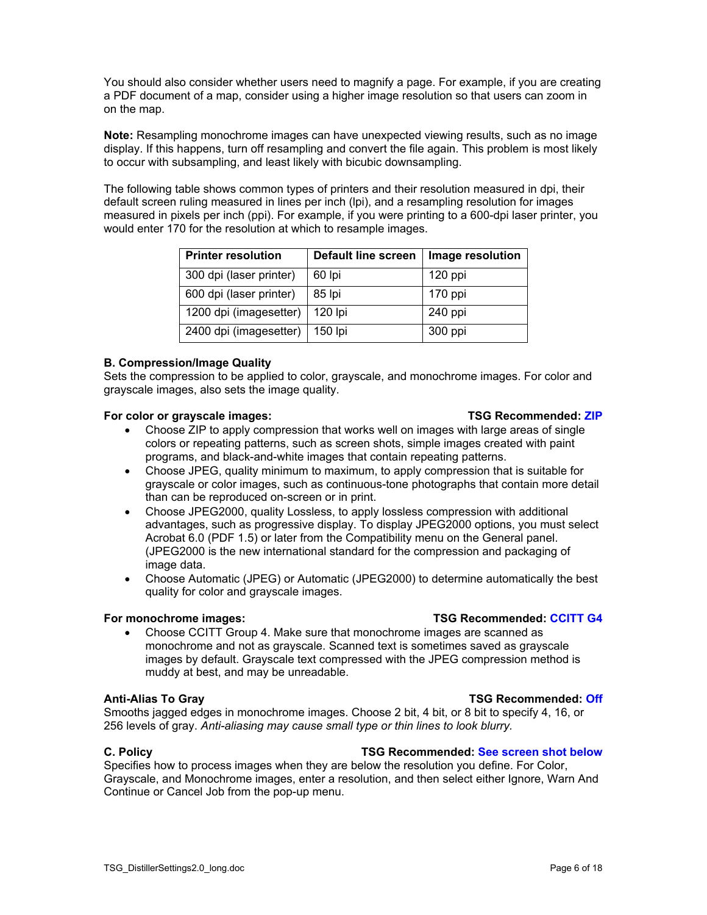You should also consider whether users need to magnify a page. For example, if you are creating a PDF document of a map, consider using a higher image resolution so that users can zoom in on the map.

**Note:** Resampling monochrome images can have unexpected viewing results, such as no image display. If this happens, turn off resampling and convert the file again. This problem is most likely to occur with subsampling, and least likely with bicubic downsampling.

The following table shows common types of printers and their resolution measured in dpi, their default screen ruling measured in lines per inch (lpi), and a resampling resolution for images measured in pixels per inch (ppi). For example, if you were printing to a 600-dpi laser printer, you would enter 170 for the resolution at which to resample images.

| <b>Printer resolution</b> | <b>Default line screen</b> | Image resolution |
|---------------------------|----------------------------|------------------|
| 300 dpi (laser printer)   | 60 lpi                     | 120 ppi          |
| 600 dpi (laser printer)   | 85 Ipi                     | 170 ppi          |
| 1200 dpi (imagesetter)    | 120 lpi                    | 240 ppi          |
| 2400 dpi (imagesetter)    | 150 lpi                    | 300 ppi          |

### **B. Compression/Image Quality**

Sets the compression to be applied to color, grayscale, and monochrome images. For color and grayscale images, also sets the image quality.

### **For color or grayscale images: TSG Recommended: ZIP**

- Choose ZIP to apply compression that works well on images with large areas of single colors or repeating patterns, such as screen shots, simple images created with paint programs, and black-and-white images that contain repeating patterns.
- Choose JPEG, quality minimum to maximum, to apply compression that is suitable for grayscale or color images, such as continuous-tone photographs that contain more detail than can be reproduced on-screen or in print.
- Choose JPEG2000, quality Lossless, to apply lossless compression with additional advantages, such as progressive display. To display JPEG2000 options, you must select Acrobat 6.0 (PDF 1.5) or later from the Compatibility menu on the General panel. (JPEG2000 is the new international standard for the compression and packaging of image data.
- Choose Automatic (JPEG) or Automatic (JPEG2000) to determine automatically the best quality for color and grayscale images.

### **For monochrome images: TSG Recommended: CCITT G4**

• Choose CCITT Group 4. Make sure that monochrome images are scanned as monochrome and not as grayscale. Scanned text is sometimes saved as grayscale images by default. Grayscale text compressed with the JPEG compression method is muddy at best, and may be unreadable.

### **Anti-Alias To Gray TSG Recommended: Off**

Smooths jagged edges in monochrome images. Choose 2 bit, 4 bit, or 8 bit to specify 4, 16, or 256 levels of gray. *Anti-aliasing may cause small type or thin lines to look blurry.*

### **C. Policy TSG Recommended: See screen shot below**

Specifies how to process images when they are below the resolution you define. For Color, Grayscale, and Monochrome images, enter a resolution, and then select either Ignore, Warn And Continue or Cancel Job from the pop-up menu.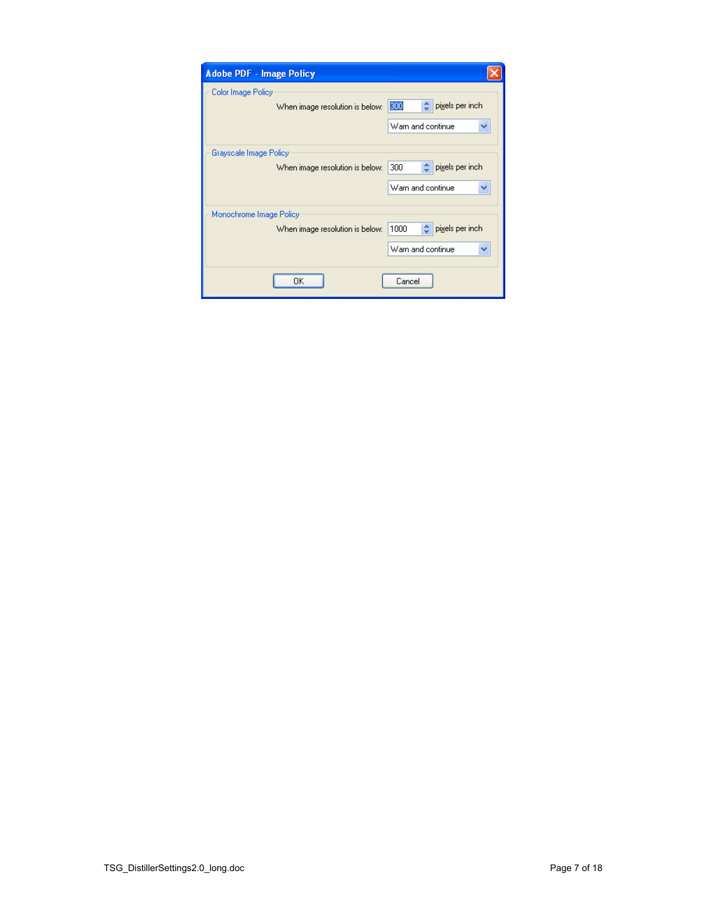| <b>Adobe PDF - Image Policy</b> |                                     |
|---------------------------------|-------------------------------------|
| Color Image Policy              |                                     |
| When image resolution is below: | $\leftarrow$ pigels per inch<br>300 |
|                                 | Warn and continue<br>v              |
| Grayscale Image Policy          |                                     |
| When image resolution is below: | pixels per inch<br>300              |
|                                 | Warn and continue<br>v              |
| Monochrome Image Policy         |                                     |
| When image resolution is below: | pigels per inch<br>1000<br>٠        |
|                                 | Warn and continue<br>v              |
| OK                              | Cancel                              |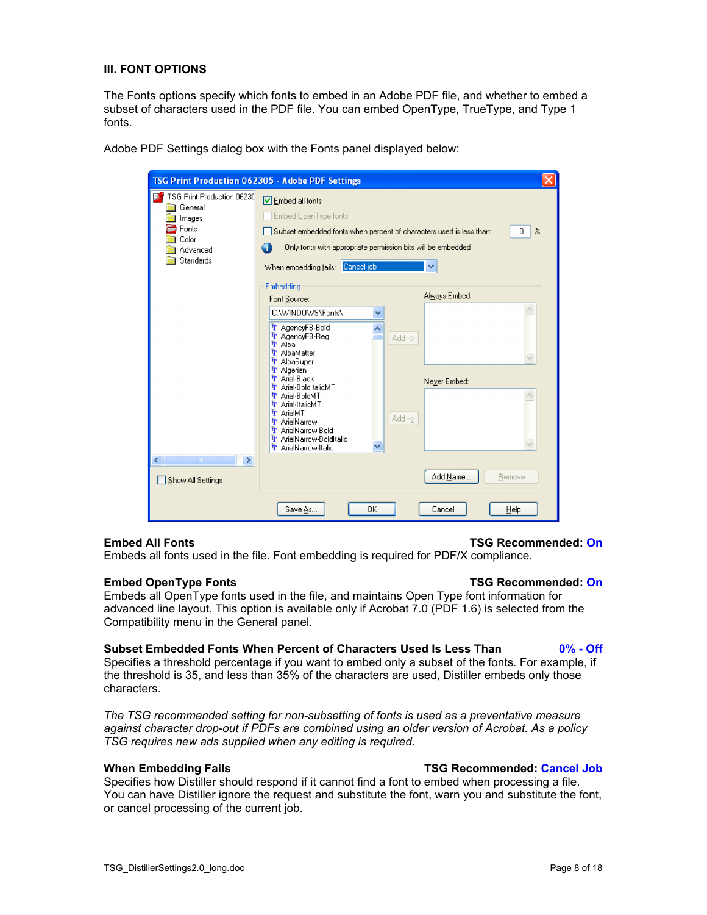#### **III. FONT OPTIONS**

The Fonts options specify which fonts to embed in an Adobe PDF file, and whether to embed a subset of characters used in the PDF file. You can embed OpenType, TrueType, and Type 1 fonts.

|                                                                                                                                                    | <b>TSG Print Production 062305 - Adobe PDF Settings</b>                                                                                                                                                                                                                                                                                                                                                                           |                                 |
|----------------------------------------------------------------------------------------------------------------------------------------------------|-----------------------------------------------------------------------------------------------------------------------------------------------------------------------------------------------------------------------------------------------------------------------------------------------------------------------------------------------------------------------------------------------------------------------------------|---------------------------------|
| TSG Print Production 06230<br>General<br>Images<br>Fonts<br>Color<br>Advanced<br><b>Standards</b>                                                  | $\boxed{\triangledown}$ Embed all fonts<br>Embed OpenType fonts<br>Subset embedded fonts when percent of characters used is less than:<br>Only fonts with appropriate permission bits will be embedded<br>G<br>Cancel job<br>v<br>When embedding fails:                                                                                                                                                                           | $\boldsymbol{\mathcal{Z}}$<br>0 |
|                                                                                                                                                    | Embedding<br>Always Embed:<br>Font Source:<br>C:\WINDOWS\Fonts\<br>T AgencyFB-Bold<br>Ą<br>tr AgencyFB-Reg<br>Add --><br><b>なんのうちゃく 中国</b><br><sup>T</sup> AlbaMatter<br>t AlbaSuper<br>T Algerian<br>T Arial Black<br>Never Embed:<br>T Arial-BoldItalicMT<br>T Arial-BoldMT<br>T Arial-ItalicMT<br>T ArialMT<br>Add -- ><br><sup>T</sup> ArialNarrow<br>T ArialNarrow-Bold<br>tr ArialNarrow BoldItalic<br>T ArialNarrow-Italic | v                               |
| ≮∣<br>$\mathbf{m}% =\mathbf{v}^{T}\mathbf{v}^{T}\mathbf{v}^{T}\mathbf{v}^{T}+\mathbf{v}^{T}\mathbf{v}^{T}\mathbf{v}^{T}$<br>×<br>Show All Settings | Add Name                                                                                                                                                                                                                                                                                                                                                                                                                          | Remove                          |
|                                                                                                                                                    | 0K<br>Cancel<br>Save As                                                                                                                                                                                                                                                                                                                                                                                                           | Help                            |

Adobe PDF Settings dialog box with the Fonts panel displayed below:

#### **Embed All Fonts TSG Recommended: On**

Embeds all fonts used in the file. Font embedding is required for PDF/X compliance.

#### **Embed OpenType Fonts TSG Recommended: On**

Embeds all OpenType fonts used in the file, and maintains Open Type font information for advanced line layout. This option is available only if Acrobat 7.0 (PDF 1.6) is selected from the Compatibility menu in the General panel.

### **Subset Embedded Fonts When Percent of Characters Used Is Less Than 0% - Off**

Specifies a threshold percentage if you want to embed only a subset of the fonts. For example, if the threshold is 35, and less than 35% of the characters are used, Distiller embeds only those characters.

*The TSG recommended setting for non-subsetting of fonts is used as a preventative measure against character drop-out if PDFs are combined using an older version of Acrobat. As a policy TSG requires new ads supplied when any editing is required.* 

Specifies how Distiller should respond if it cannot find a font to embed when processing a file. You can have Distiller ignore the request and substitute the font, warn you and substitute the font, or cancel processing of the current job.

# **When Embedding Fails TSG Recommended: Cancel Job**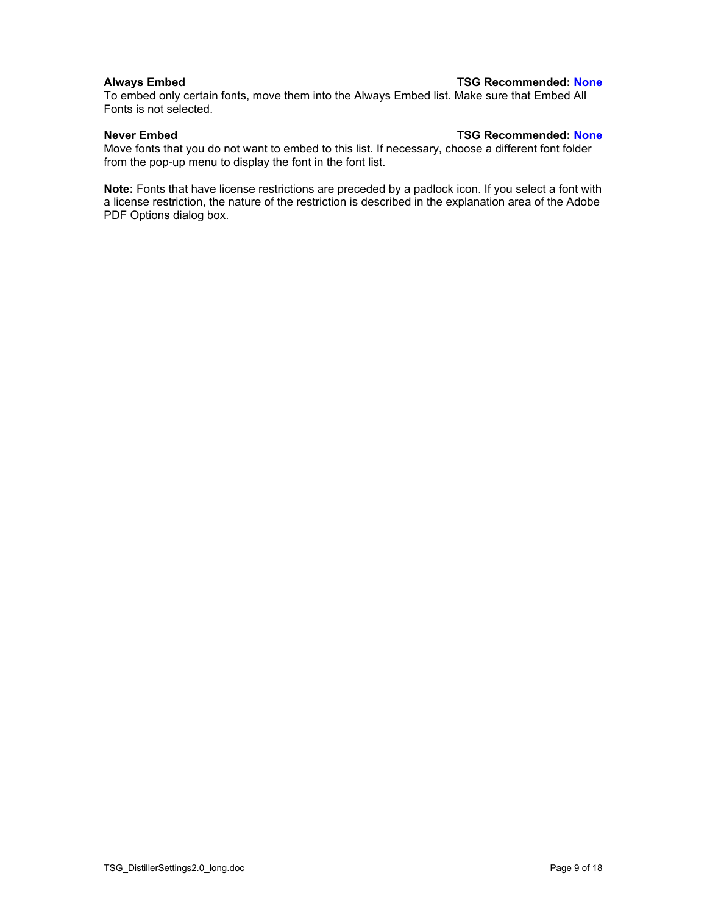#### **Always Embed TSG Recommended: None**

To embed only certain fonts, move them into the Always Embed list. Make sure that Embed All Fonts is not selected.

### **Never Embed TSG Recommended: None**

Move fonts that you do not want to embed to this list. If necessary, choose a different font folder from the pop-up menu to display the font in the font list.

**Note:** Fonts that have license restrictions are preceded by a padlock icon. If you select a font with a license restriction, the nature of the restriction is described in the explanation area of the Adobe PDF Options dialog box.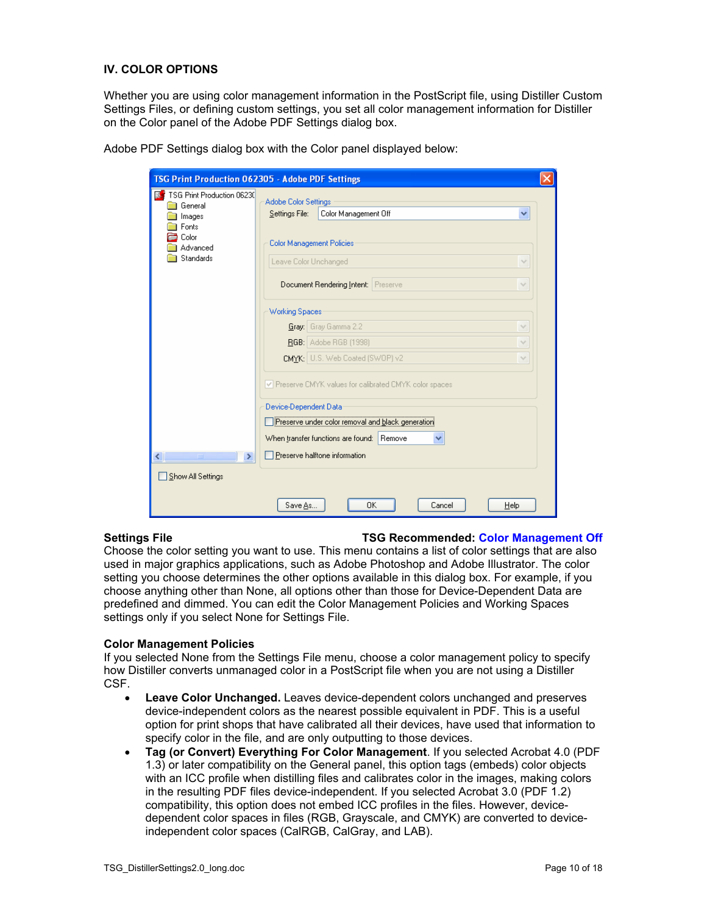### **IV. COLOR OPTIONS**

Whether you are using color management information in the PostScript file, using Distiller Custom Settings Files, or defining custom settings, you set all color management information for Distiller on the Color panel of the Adobe PDF Settings dialog box.

| Adobe PDF Settings dialog box with the Color panel displayed below: |  |  |  |  |  |
|---------------------------------------------------------------------|--|--|--|--|--|
|                                                                     |  |  |  |  |  |

|                                                          | <b>TSG Print Production 062305 - Adobe PDF Settings</b>             |  |
|----------------------------------------------------------|---------------------------------------------------------------------|--|
| TSG Print Production 06230<br>General<br>Images<br>Fonts | Adobe Color Settings<br>Color Management Off<br>Settings File:<br>v |  |
| Color<br>Advanced<br>Standards                           | Color Management Policies<br>Leave Color Unchanged<br>$\vee$        |  |
|                                                          | Document Rendering Intent: Preserve<br>$\searrow$                   |  |
|                                                          | <b>Working Spaces</b>                                               |  |
|                                                          | Gray: Gray Gamma 2.2<br>$\checkmark$                                |  |
|                                                          | RGB: Adobe RGB (1998)<br>$\checkmark$                               |  |
|                                                          | CMYK: U.S. Web Coated (SWOP) v2<br>$\vee$                           |  |
|                                                          | √ Preserve CMYK values for calibrated CMYK color spaces             |  |
|                                                          | Device-Dependent Data                                               |  |
|                                                          | Preserve under color removal and black generation                   |  |
|                                                          | When transfer functions are found:<br>Remove                        |  |
| ∢∣<br>$\mathbf{m}$<br>×                                  | Preserve halftone information                                       |  |
| Show All Settings                                        |                                                                     |  |
|                                                          | OΚ<br>Save As<br>Cancel<br>Help                                     |  |

### **Settings File TSG Recommended: Color Management Off**

Choose the color setting you want to use. This menu contains a list of color settings that are also used in major graphics applications, such as Adobe Photoshop and Adobe Illustrator. The color setting you choose determines the other options available in this dialog box. For example, if you choose anything other than None, all options other than those for Device-Dependent Data are predefined and dimmed. You can edit the Color Management Policies and Working Spaces settings only if you select None for Settings File.

### **Color Management Policies**

If you selected None from the Settings File menu, choose a color management policy to specify how Distiller converts unmanaged color in a PostScript file when you are not using a Distiller CSF.

- **Leave Color Unchanged.** Leaves device-dependent colors unchanged and preserves device-independent colors as the nearest possible equivalent in PDF. This is a useful option for print shops that have calibrated all their devices, have used that information to specify color in the file, and are only outputting to those devices.
- **Tag (or Convert) Everything For Color Management**. If you selected Acrobat 4.0 (PDF 1.3) or later compatibility on the General panel, this option tags (embeds) color objects with an ICC profile when distilling files and calibrates color in the images, making colors in the resulting PDF files device-independent. If you selected Acrobat 3.0 (PDF 1.2) compatibility, this option does not embed ICC profiles in the files. However, devicedependent color spaces in files (RGB, Grayscale, and CMYK) are converted to deviceindependent color spaces (CalRGB, CalGray, and LAB).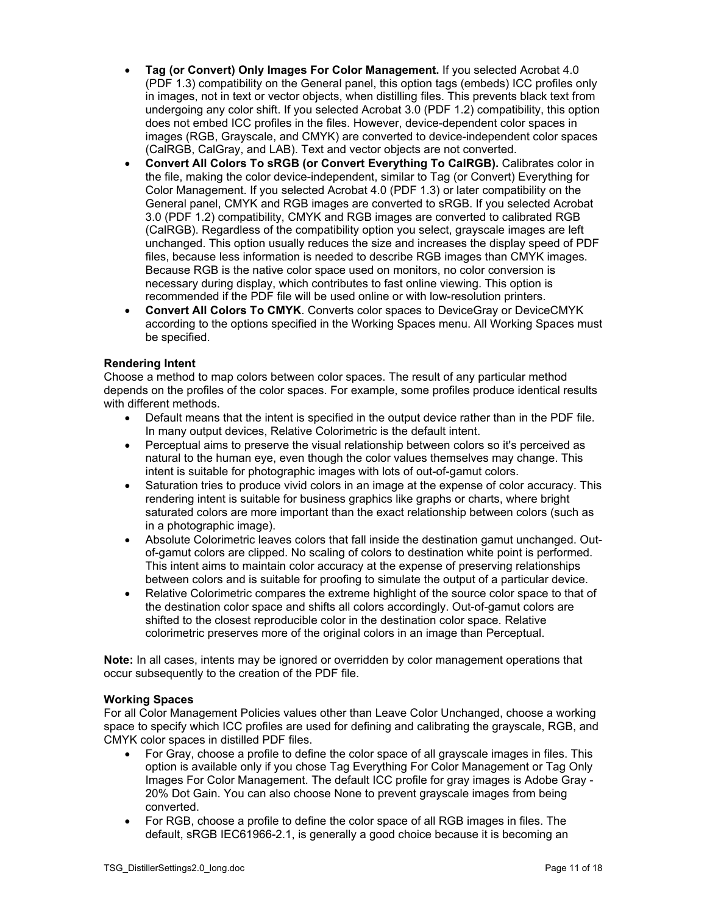- **Tag (or Convert) Only Images For Color Management.** If you selected Acrobat 4.0 (PDF 1.3) compatibility on the General panel, this option tags (embeds) ICC profiles only in images, not in text or vector objects, when distilling files. This prevents black text from undergoing any color shift. If you selected Acrobat 3.0 (PDF 1.2) compatibility, this option does not embed ICC profiles in the files. However, device-dependent color spaces in images (RGB, Grayscale, and CMYK) are converted to device-independent color spaces (CalRGB, CalGray, and LAB). Text and vector objects are not converted.
- **Convert All Colors To sRGB (or Convert Everything To CalRGB).** Calibrates color in the file, making the color device-independent, similar to Tag (or Convert) Everything for Color Management. If you selected Acrobat 4.0 (PDF 1.3) or later compatibility on the General panel, CMYK and RGB images are converted to sRGB. If you selected Acrobat 3.0 (PDF 1.2) compatibility, CMYK and RGB images are converted to calibrated RGB (CalRGB). Regardless of the compatibility option you select, grayscale images are left unchanged. This option usually reduces the size and increases the display speed of PDF files, because less information is needed to describe RGB images than CMYK images. Because RGB is the native color space used on monitors, no color conversion is necessary during display, which contributes to fast online viewing. This option is recommended if the PDF file will be used online or with low-resolution printers.
- **Convert All Colors To CMYK**. Converts color spaces to DeviceGray or DeviceCMYK according to the options specified in the Working Spaces menu. All Working Spaces must be specified.

### **Rendering Intent**

Choose a method to map colors between color spaces. The result of any particular method depends on the profiles of the color spaces. For example, some profiles produce identical results with different methods.

- Default means that the intent is specified in the output device rather than in the PDF file. In many output devices, Relative Colorimetric is the default intent.
- Perceptual aims to preserve the visual relationship between colors so it's perceived as natural to the human eye, even though the color values themselves may change. This intent is suitable for photographic images with lots of out-of-gamut colors.
- Saturation tries to produce vivid colors in an image at the expense of color accuracy. This rendering intent is suitable for business graphics like graphs or charts, where bright saturated colors are more important than the exact relationship between colors (such as in a photographic image).
- Absolute Colorimetric leaves colors that fall inside the destination gamut unchanged. Outof-gamut colors are clipped. No scaling of colors to destination white point is performed. This intent aims to maintain color accuracy at the expense of preserving relationships between colors and is suitable for proofing to simulate the output of a particular device.
- Relative Colorimetric compares the extreme highlight of the source color space to that of the destination color space and shifts all colors accordingly. Out-of-gamut colors are shifted to the closest reproducible color in the destination color space. Relative colorimetric preserves more of the original colors in an image than Perceptual.

**Note:** In all cases, intents may be ignored or overridden by color management operations that occur subsequently to the creation of the PDF file.

### **Working Spaces**

For all Color Management Policies values other than Leave Color Unchanged, choose a working space to specify which ICC profiles are used for defining and calibrating the grayscale, RGB, and CMYK color spaces in distilled PDF files.

- For Gray, choose a profile to define the color space of all grayscale images in files. This option is available only if you chose Tag Everything For Color Management or Tag Only Images For Color Management. The default ICC profile for gray images is Adobe Gray - 20% Dot Gain. You can also choose None to prevent grayscale images from being converted.
- For RGB, choose a profile to define the color space of all RGB images in files. The default, sRGB IEC61966-2.1, is generally a good choice because it is becoming an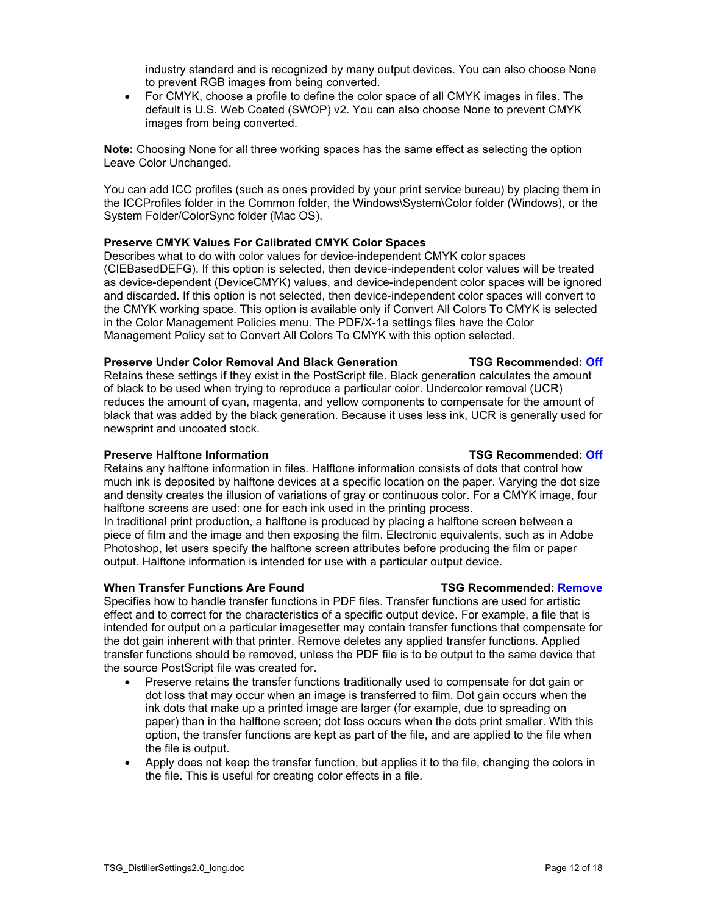industry standard and is recognized by many output devices. You can also choose None to prevent RGB images from being converted.

• For CMYK, choose a profile to define the color space of all CMYK images in files. The default is U.S. Web Coated (SWOP) v2. You can also choose None to prevent CMYK images from being converted.

**Note:** Choosing None for all three working spaces has the same effect as selecting the option Leave Color Unchanged.

You can add ICC profiles (such as ones provided by your print service bureau) by placing them in the ICCProfiles folder in the Common folder, the Windows\System\Color folder (Windows), or the System Folder/ColorSync folder (Mac OS).

### **Preserve CMYK Values For Calibrated CMYK Color Spaces**

Describes what to do with color values for device-independent CMYK color spaces (CIEBasedDEFG). If this option is selected, then device-independent color values will be treated as device-dependent (DeviceCMYK) values, and device-independent color spaces will be ignored and discarded. If this option is not selected, then device-independent color spaces will convert to the CMYK working space. This option is available only if Convert All Colors To CMYK is selected in the Color Management Policies menu. The PDF/X-1a settings files have the Color Management Policy set to Convert All Colors To CMYK with this option selected.

### **Preserve Under Color Removal And Black Generation TSG Recommended: Off**

Retains these settings if they exist in the PostScript file. Black generation calculates the amount of black to be used when trying to reproduce a particular color. Undercolor removal (UCR) reduces the amount of cyan, magenta, and yellow components to compensate for the amount of black that was added by the black generation. Because it uses less ink, UCR is generally used for newsprint and uncoated stock.

#### **Preserve Halftone Information TSG Recommended: Off**

Retains any halftone information in files. Halftone information consists of dots that control how much ink is deposited by halftone devices at a specific location on the paper. Varying the dot size and density creates the illusion of variations of gray or continuous color. For a CMYK image, four halftone screens are used: one for each ink used in the printing process.

In traditional print production, a halftone is produced by placing a halftone screen between a piece of film and the image and then exposing the film. Electronic equivalents, such as in Adobe Photoshop, let users specify the halftone screen attributes before producing the film or paper output. Halftone information is intended for use with a particular output device.

### **When Transfer Functions Are Found TSG Recommended: Remove**

Specifies how to handle transfer functions in PDF files. Transfer functions are used for artistic effect and to correct for the characteristics of a specific output device. For example, a file that is intended for output on a particular imagesetter may contain transfer functions that compensate for the dot gain inherent with that printer. Remove deletes any applied transfer functions. Applied transfer functions should be removed, unless the PDF file is to be output to the same device that the source PostScript file was created for.

- Preserve retains the transfer functions traditionally used to compensate for dot gain or dot loss that may occur when an image is transferred to film. Dot gain occurs when the ink dots that make up a printed image are larger (for example, due to spreading on paper) than in the halftone screen; dot loss occurs when the dots print smaller. With this option, the transfer functions are kept as part of the file, and are applied to the file when the file is output.
- Apply does not keep the transfer function, but applies it to the file, changing the colors in the file. This is useful for creating color effects in a file.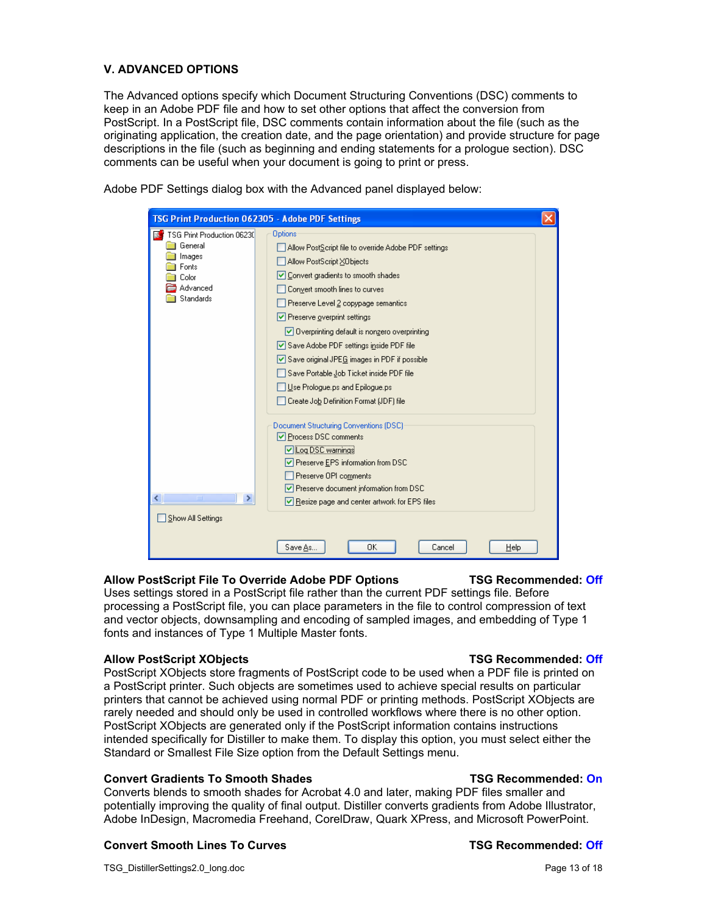### **V. ADVANCED OPTIONS**

The Advanced options specify which Document Structuring Conventions (DSC) comments to keep in an Adobe PDF file and how to set other options that affect the conversion from PostScript. In a PostScript file, DSC comments contain information about the file (such as the originating application, the creation date, and the page orientation) and provide structure for page descriptions in the file (such as beginning and ending statements for a prologue section). DSC comments can be useful when your document is going to print or press.

| TSG Print Production 062305 - Adobe PDF Settings |                                                      |  |  |  |  |  |
|--------------------------------------------------|------------------------------------------------------|--|--|--|--|--|
| TSG Print Production 06230                       | <b>Options</b>                                       |  |  |  |  |  |
| General                                          | Allow PostScript file to override Adobe PDF settings |  |  |  |  |  |
| lmages                                           | Allow PostScript XObjects                            |  |  |  |  |  |
| Fonts<br>Color                                   | ◯ Convert gradients to smooth shades                 |  |  |  |  |  |
| Advanced                                         | Convert smooth lines to curves                       |  |  |  |  |  |
| Standards                                        |                                                      |  |  |  |  |  |
|                                                  | Preserve Level 2 copypage semantics                  |  |  |  |  |  |
|                                                  | $\triangleright$ Preserve overprint settings         |  |  |  |  |  |
|                                                  | Overprinting default is nonzero overprinting         |  |  |  |  |  |
|                                                  | Save Adobe PDF settings inside PDF file              |  |  |  |  |  |
|                                                  | Save original JPEG images in PDF if possible         |  |  |  |  |  |
|                                                  | Save Portable Job Ticket inside PDF file             |  |  |  |  |  |
|                                                  | Use Prologue.ps and Epiloque.ps                      |  |  |  |  |  |
|                                                  | Create Job Definition Format (JDF) file              |  |  |  |  |  |
|                                                  |                                                      |  |  |  |  |  |
|                                                  | Document Structuring Conventions (DSC)               |  |  |  |  |  |
|                                                  | ☑ Process DSC comments                               |  |  |  |  |  |
|                                                  | ☑ Log DSC warnings                                   |  |  |  |  |  |
|                                                  | ✔ Preserve EPS information from DSC                  |  |  |  |  |  |
|                                                  | Preserve OPI comments                                |  |  |  |  |  |
|                                                  | Preserve document information from DSC               |  |  |  |  |  |
| IIII.<br>×.                                      | $\vee$ Resize page and center artwork for EPS files  |  |  |  |  |  |
| Show All Settings                                |                                                      |  |  |  |  |  |
|                                                  |                                                      |  |  |  |  |  |
|                                                  | 0K<br>Save As.,<br>Cancel<br>Help                    |  |  |  |  |  |

Adobe PDF Settings dialog box with the Advanced panel displayed below:

### **Allow PostScript File To Override Adobe PDF Options TSG Recommended: Off**

Uses settings stored in a PostScript file rather than the current PDF settings file. Before processing a PostScript file, you can place parameters in the file to control compression of text and vector objects, downsampling and encoding of sampled images, and embedding of Type 1 fonts and instances of Type 1 Multiple Master fonts.

#### **Allow PostScript XObjects TSG Recommended: Off**

PostScript XObjects store fragments of PostScript code to be used when a PDF file is printed on a PostScript printer. Such objects are sometimes used to achieve special results on particular printers that cannot be achieved using normal PDF or printing methods. PostScript XObjects are rarely needed and should only be used in controlled workflows where there is no other option. PostScript XObjects are generated only if the PostScript information contains instructions intended specifically for Distiller to make them. To display this option, you must select either the Standard or Smallest File Size option from the Default Settings menu.

#### **Convert Gradients To Smooth Shades The Convert Gradients To Smooth Shades** TSG Recommended: On

Converts blends to smooth shades for Acrobat 4.0 and later, making PDF files smaller and potentially improving the quality of final output. Distiller converts gradients from Adobe Illustrator, Adobe InDesign, Macromedia Freehand, CorelDraw, Quark XPress, and Microsoft PowerPoint.

#### **Convert Smooth Lines To Curves Transform Convert Smooth Lines To Curve**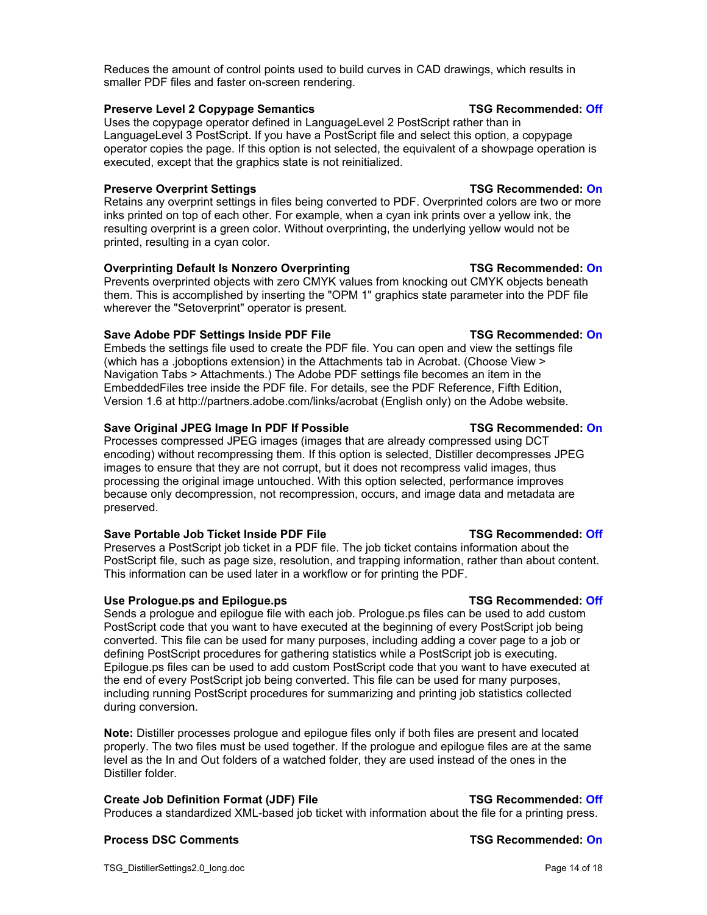Reduces the amount of control points used to build curves in CAD drawings, which results in smaller PDF files and faster on-screen rendering.

### **Preserve Level 2 Copypage Semantics TSG Recommended: Off**

Uses the copypage operator defined in LanguageLevel 2 PostScript rather than in LanguageLevel 3 PostScript. If you have a PostScript file and select this option, a copypage operator copies the page. If this option is not selected, the equivalent of a showpage operation is executed, except that the graphics state is not reinitialized.

### **Preserve Overprint Settings TSG Recommended: On**

Retains any overprint settings in files being converted to PDF. Overprinted colors are two or more inks printed on top of each other. For example, when a cyan ink prints over a yellow ink, the resulting overprint is a green color. Without overprinting, the underlying yellow would not be printed, resulting in a cyan color.

#### **Overprinting Default Is Nonzero Overprinting TSG Recommended: On**

Prevents overprinted objects with zero CMYK values from knocking out CMYK objects beneath them. This is accomplished by inserting the "OPM 1" graphics state parameter into the PDF file wherever the "Setoverprint" operator is present.

#### **Save Adobe PDF Settings Inside PDF File TSG Recommended: On**

Embeds the settings file used to create the PDF file. You can open and view the settings file (which has a .joboptions extension) in the Attachments tab in Acrobat. (Choose View > Navigation Tabs > Attachments.) The Adobe PDF settings file becomes an item in the EmbeddedFiles tree inside the PDF file. For details, see the PDF Reference, Fifth Edition, Version 1.6 at http://partners.adobe.com/links/acrobat (English only) on the Adobe website.

### **Save Original JPEG Image In PDF If Possible TSG Recommended: On**

Processes compressed JPEG images (images that are already compressed using DCT encoding) without recompressing them. If this option is selected, Distiller decompresses JPEG images to ensure that they are not corrupt, but it does not recompress valid images, thus processing the original image untouched. With this option selected, performance improves because only decompression, not recompression, occurs, and image data and metadata are preserved.

#### Save Portable Job Ticket Inside PDF File **The Community Container TSG Recommended: Off**

Preserves a PostScript job ticket in a PDF file. The job ticket contains information about the PostScript file, such as page size, resolution, and trapping information, rather than about content. This information can be used later in a workflow or for printing the PDF.

#### **Use Prologue.ps and Epilogue.ps TSG Recommended: Off**

Sends a prologue and epilogue file with each job. Prologue.ps files can be used to add custom PostScript code that you want to have executed at the beginning of every PostScript job being converted. This file can be used for many purposes, including adding a cover page to a job or defining PostScript procedures for gathering statistics while a PostScript job is executing. Epilogue.ps files can be used to add custom PostScript code that you want to have executed at the end of every PostScript job being converted. This file can be used for many purposes, including running PostScript procedures for summarizing and printing job statistics collected during conversion.

**Note:** Distiller processes prologue and epilogue files only if both files are present and located properly. The two files must be used together. If the prologue and epilogue files are at the same level as the In and Out folders of a watched folder, they are used instead of the ones in the Distiller folder.

### **Create Job Definition Format (JDF) File TSG Recommended: Off**

Produces a standardized XML-based job ticket with information about the file for a printing press.

# **Process DSC Comments TSG Recommended: On**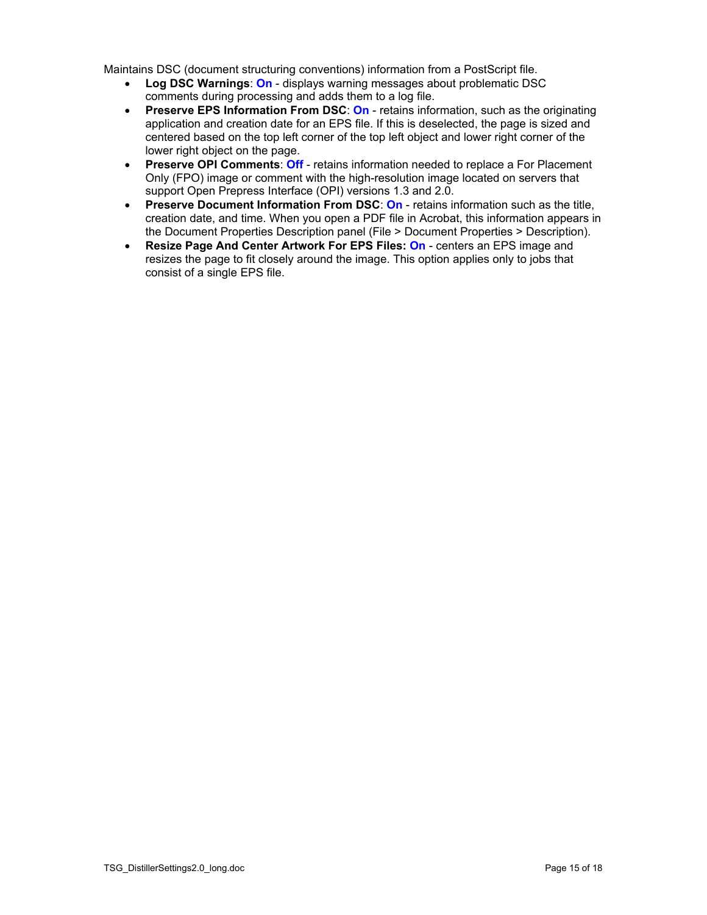Maintains DSC (document structuring conventions) information from a PostScript file.

- **Log DSC Warnings**: **On** displays warning messages about problematic DSC comments during processing and adds them to a log file.
- **Preserve EPS Information From DSC**: **On** retains information, such as the originating application and creation date for an EPS file. If this is deselected, the page is sized and centered based on the top left corner of the top left object and lower right corner of the lower right object on the page.
- **Preserve OPI Comments**: **Off** retains information needed to replace a For Placement Only (FPO) image or comment with the high-resolution image located on servers that support Open Prepress Interface (OPI) versions 1.3 and 2.0.
- **Preserve Document Information From DSC**: **On** retains information such as the title, creation date, and time. When you open a PDF file in Acrobat, this information appears in the Document Properties Description panel (File > Document Properties > Description).
- **Resize Page And Center Artwork For EPS Files: On** centers an EPS image and resizes the page to fit closely around the image. This option applies only to jobs that consist of a single EPS file.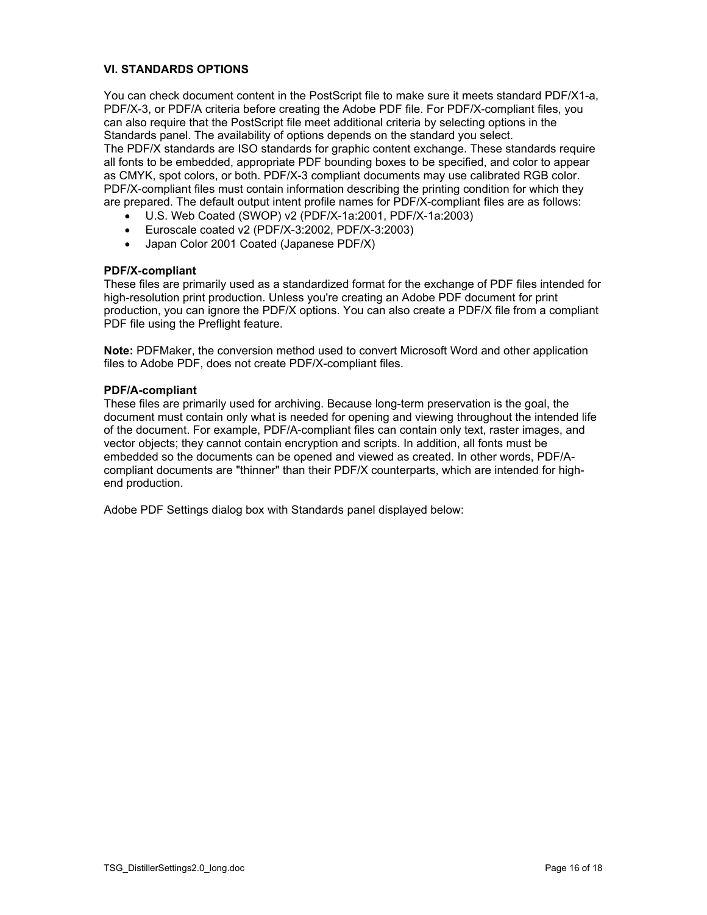### **VI. STANDARDS OPTIONS**

You can check document content in the PostScript file to make sure it meets standard PDF/X1-a, PDF/X-3, or PDF/A criteria before creating the Adobe PDF file. For PDF/X-compliant files, you can also require that the PostScript file meet additional criteria by selecting options in the Standards panel. The availability of options depends on the standard you select. The PDF/X standards are ISO standards for graphic content exchange. These standards require

all fonts to be embedded, appropriate PDF bounding boxes to be specified, and color to appear as CMYK, spot colors, or both. PDF/X-3 compliant documents may use calibrated RGB color. PDF/X-compliant files must contain information describing the printing condition for which they are prepared. The default output intent profile names for PDF/X-compliant files are as follows:

- U.S. Web Coated (SWOP) v2 (PDF/X-1a:2001, PDF/X-1a:2003)
- Euroscale coated v2 (PDF/X-3:2002, PDF/X-3:2003)
- Japan Color 2001 Coated (Japanese PDF/X)

### **PDF/X-compliant**

These files are primarily used as a standardized format for the exchange of PDF files intended for high-resolution print production. Unless you're creating an Adobe PDF document for print production, you can ignore the PDF/X options. You can also create a PDF/X file from a compliant PDF file using the Preflight feature.

**Note:** PDFMaker, the conversion method used to convert Microsoft Word and other application files to Adobe PDF, does not create PDF/X-compliant files.

#### **PDF/A-compliant**

These files are primarily used for archiving. Because long-term preservation is the goal, the document must contain only what is needed for opening and viewing throughout the intended life of the document. For example, PDF/A-compliant files can contain only text, raster images, and vector objects; they cannot contain encryption and scripts. In addition, all fonts must be embedded so the documents can be opened and viewed as created. In other words, PDF/Acompliant documents are "thinner" than their PDF/X counterparts, which are intended for highend production.

Adobe PDF Settings dialog box with Standards panel displayed below: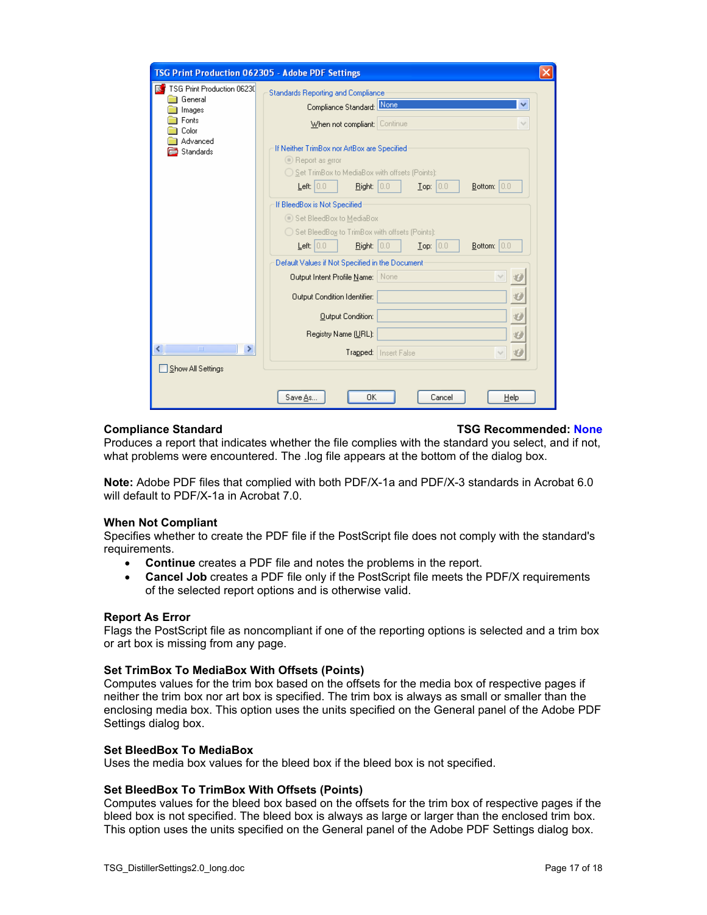| TSG Print Production 062305 - Adobe PDF Settings           |                                                                                    |              |
|------------------------------------------------------------|------------------------------------------------------------------------------------|--------------|
| TSG Print Production 06230                                 | <b>Standards Reporting and Compliance</b>                                          |              |
| General<br>Images                                          | Compliance Standard: None                                                          | v            |
| Fonts                                                      | When not compliant: Continue                                                       | $\checkmark$ |
| Color<br>Advanced                                          |                                                                                    |              |
| Standards                                                  | If Neither TrimBox nor ArtBox are Specified                                        |              |
|                                                            | ◯ Report as error                                                                  |              |
|                                                            | ◯ Set TrimBox to MediaBox with offsets (Points):                                   |              |
|                                                            | Left: $0.0$<br>$\text{Top:} \left  0.0 \right $<br>Bottom: $0.0$<br>Right:<br> 0,0 |              |
|                                                            | If BleedBox is Not Specified                                                       |              |
|                                                            | Set BleedBox to MediaBox                                                           |              |
|                                                            | ◯ Set BleedBox to TrimBox with offsets (Points):                                   |              |
|                                                            | Left: $0.0$<br>Top: 0.0<br>Bottom: $0.0$<br>Right: 0.0                             |              |
|                                                            | Default Values if Not Specified in the Document                                    |              |
|                                                            | Output Intent Profile Name: None                                                   |              |
|                                                            | Output Condition Identifier:                                                       | st i         |
|                                                            |                                                                                    |              |
|                                                            | <b>Qutput Condition:</b>                                                           |              |
|                                                            | Registry Name (URL):                                                               |              |
| $\left\langle \cdot \right\rangle$<br>III<br>$\rightarrow$ | Trapped: Insert False                                                              |              |
| Show All Settings                                          |                                                                                    |              |
|                                                            |                                                                                    |              |
|                                                            | OK<br>Cancel<br>Help<br>Save As                                                    |              |
|                                                            |                                                                                    |              |

### **Compliance Standard TSG Recommended: None**

Produces a report that indicates whether the file complies with the standard you select, and if not, what problems were encountered. The .log file appears at the bottom of the dialog box.

**Note:** Adobe PDF files that complied with both PDF/X-1a and PDF/X-3 standards in Acrobat 6.0 will default to PDF/X-1a in Acrobat 7.0.

#### **When Not Compliant**

Specifies whether to create the PDF file if the PostScript file does not comply with the standard's requirements.

- **Continue** creates a PDF file and notes the problems in the report.
- **Cancel Job** creates a PDF file only if the PostScript file meets the PDF/X requirements of the selected report options and is otherwise valid.

#### **Report As Error**

Flags the PostScript file as noncompliant if one of the reporting options is selected and a trim box or art box is missing from any page.

### **Set TrimBox To MediaBox With Offsets (Points)**

Computes values for the trim box based on the offsets for the media box of respective pages if neither the trim box nor art box is specified. The trim box is always as small or smaller than the enclosing media box. This option uses the units specified on the General panel of the Adobe PDF Settings dialog box.

#### **Set BleedBox To MediaBox**

Uses the media box values for the bleed box if the bleed box is not specified.

### **Set BleedBox To TrimBox With Offsets (Points)**

Computes values for the bleed box based on the offsets for the trim box of respective pages if the bleed box is not specified. The bleed box is always as large or larger than the enclosed trim box. This option uses the units specified on the General panel of the Adobe PDF Settings dialog box.